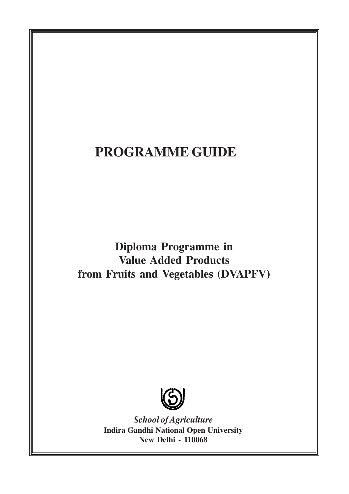# **PROGRAMME GUIDE**

**Diploma Programme in Value Added Products from Fruits and Vegetables (DVAPFV)**



*School of Agriculture* **Indira Gandhi National Open University New Delhi - 110068**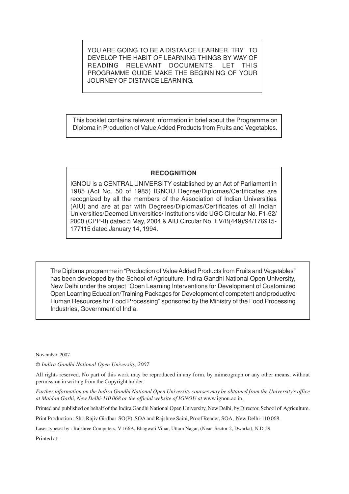YOU ARE GOING TO BE A DISTANCE LEARNER. TRY TO DEVELOP THE HABIT OF LEARNING THINGS BY WAY OF READING RELEVANT DOCUMENTS. LET THIS PROGRAMME GUIDE MAKE THE BEGINNING OF YOUR JOURNEY OF DISTANCE LEARNING.

This booklet contains relevant information in brief about the Programme on Diploma in Production of Value Added Products from Fruits and Vegetables.

#### **RECOGNITION**

IGNOU is a CENTRAL UNIVERSITY established by an Act of Parliament in 1985 (Act No. 50 of 1985) IGNOU Degree/Diplomas/Certificates are recognized by all the members of the Association of Indian Universities (AIU) and are at par with Degrees/Diplomas/Certificates of all Indian Universities/Deemed Universities/ Institutions vide UGC Circular No. F1-52/ 2000 (CPP-II) dated 5 May, 2004 & AIU Circular No. EV/B(449)/94/176915- 177115 dated January 14, 1994.

The Diploma programme in "Production of Value Added Products from Fruits and Vegetables" has been developed by the School of Agriculture, Indira Gandhi National Open University, New Delhi under the project "Open Learning Interventions for Development of Customized Open Learning Education/Training Packages for Development of competent and productive Human Resources for Food Processing" sponsored by the Ministry of the Food Processing Industries, Government of India.

November, 2007

*© Indira Gandhi National Open University, 2007*

All rights reserved. No part of this work may be reproduced in any form, by mimeograph or any other means, without permission in writing from the Copyright holder.

*Further information on the Indira Gandhi National Open University courses may be obtained from the University's office at Maidan Garhi, New Delhi-110 068 or the official website of IGNOU at* www.ignou.ac.in.

Printed and published on behalf of the Indira Gandhi National Open University, New Delhi, by Director, School of Agriculture.

Print Production : Shri Rajiv Girdhar SO(P), SOA and Rajshree Saini, Proof Reader, SOA, New Delhi-110 068.

Laser typeset by : Rajshree Computers, V-166A, Bhagwati Vihar, Uttam Nagar, (Near Sector-2, Dwarka), N.D-59

Printed at: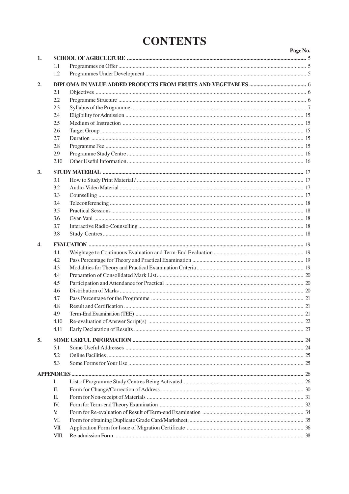# **CONTENTS**

|              |       | Page No. |
|--------------|-------|----------|
| 1.           |       |          |
|              | 1.1   |          |
|              | 1.2   |          |
| 2.           |       |          |
|              | 2.1   |          |
|              | 2.2   |          |
|              | 2.3   |          |
|              | 2.4   |          |
|              | 2.5   |          |
|              | 2.6   |          |
|              | 2.7   |          |
|              | 2.8   |          |
|              | 2.9   |          |
|              | 2.10  |          |
|              |       |          |
| 3.           |       |          |
|              | 3.1   |          |
|              | 3.2   |          |
|              | 3.3   |          |
|              | 3.4   |          |
|              | 3.5   |          |
|              | 3.6   |          |
|              | 3.7   |          |
|              | 3.8   |          |
| $\mathbf{4}$ |       |          |
|              | 4.1   |          |
|              | 4.2   |          |
|              | 4.3   |          |
|              | 4.4   |          |
|              | 4.5   |          |
|              | 4.6   |          |
|              | 4.7   |          |
|              | 4.8   |          |
|              | 4.9   |          |
|              | 4.10  |          |
|              | 4.11  |          |
| 5.           |       |          |
|              | 5.1   |          |
|              | 5.2   |          |
|              | 5.3   |          |
|              |       |          |
|              |       |          |
|              | I.    |          |
|              | П.    |          |
|              | П.    |          |
|              | IV.   |          |
|              | V.    |          |
|              | VI.   |          |
|              | VII.  |          |
|              | VIII. |          |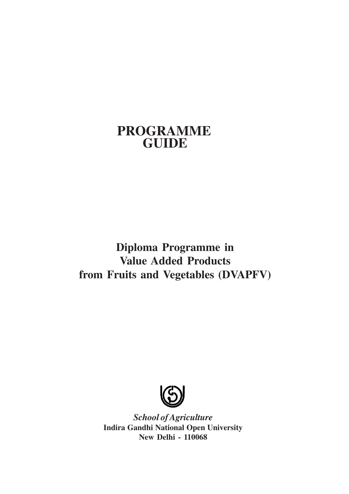# **PROGRAMME GUIDE**

**Diploma Programme in Value Added Products from Fruits and Vegetables (DVAPFV)**



*School of Agriculture* **Indira Gandhi National Open University New Delhi - 110068**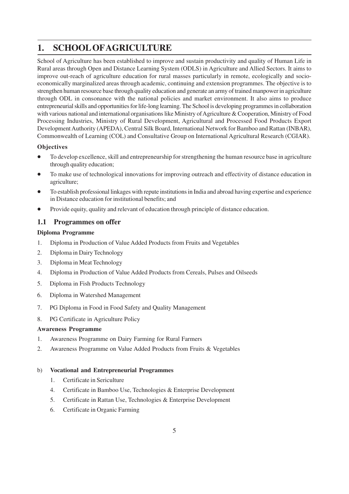# **1. SCHOOL OFAGRICULTURE**

School of Agriculture has been established to improve and sustain productivity and quality of Human Life in Rural areas through Open and Distance Learning System (ODLS) in Agriculture and Allied Sectors. It aims to improve out-reach of agriculture education for rural masses particularly in remote, ecologically and socioeconomically marginalized areas through academic, continuing and extension programmes. The objective is to strengthen human resource base through quality education and generate an army of trained manpower in agriculture through ODL in consonance with the national policies and market environment. It also aims to produce entrepreneurial skills and opportunities for life-long learning. The School is developing programmes in collaboration with various national and international organisations like Ministry of Agriculture & Cooperation, Ministry of Food Processing Industries, Ministry of Rural Development, Agricultural and Processed Food Products Export Development Authority (APEDA), Central Silk Board, International Network for Bamboo and Rattan (INBAR), Commonwealth of Learning (COL) and Consultative Group on International Agricultural Research (CGIAR).

### **Objectives**

- To develop excellence, skill and entrepreneurship for strengthening the human resource base in agriculture through quality education;
- To make use of technological innovations for improving outreach and effectivity of distance education in agriculture;
- To establish professional linkages with repute institutions in India and abroad having expertise and experience in Distance education for institutional benefits; and
- Provide equity, quality and relevant of education through principle of distance education.

# **1.1 Programmes on offer**

### **Diploma Programme**

- 1. Diploma in Production of Value Added Products from Fruits and Vegetables
- 2. Diploma in Dairy Technology
- 3. Diploma in Meat Technology
- 4. Diploma in Production of Value Added Products from Cereals, Pulses and Oilseeds
- 5. Diploma in Fish Products Technology
- 6. Diploma in Watershed Management
- 7. PG Diploma in Food in Food Safety and Quality Management
- 8. PG Certificate in Agriculture Policy

### **Awareness Programme**

- 1. Awareness Programme on Dairy Farming for Rural Farmers
- 2. Awareness Programme on Value Added Products from Fruits & Vegetables

### b) **Vocational and Entrepreneurial Programmes**

- 1. Certificate in Sericulture
- 4. Certificate in Bamboo Use, Technologies & Enterprise Development
- 5. Certificate in Rattan Use, Technologies & Enterprise Development
- 6. Certificate in Organic Farming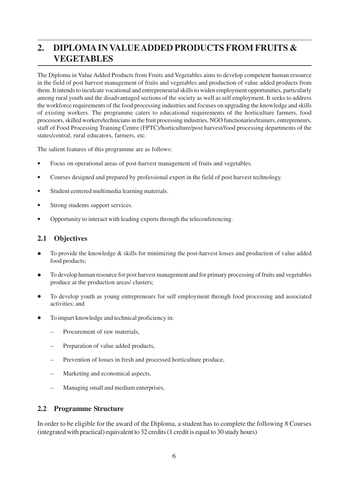# **2. DIPLOMA IN VALUE ADDED PRODUCTS FROM FRUITS & VEGETABLES**

The Diploma in Value Added Products from Fruits and Vegetables aims to develop competent human resource in the field of post harvest management of fruits and vegetables and production of value added products from them. It intends to inculcate vocational and entrepreneurial skills to widen employment opportunities, particularly among rural youth and the disadvantaged sections of the society as well as self employment. It seeks to address the workforce requirements of the food processing industries and focuses on upgrading the knowledge and skills of existing workers. The programme caters to educational requirements of the horticulture farmers, food processors, skilled workers/technicians in the fruit processing industries, NGO functionaries/trainers, entrepreneurs, staff of Food Processing Training Centre (FPTC)/horticulture/post harvest/food processing departments of the states/central, rural educators, farmers, etc.

The salient features of this programme are as follows:

- Focus on operational areas of post-harvest management of fruits and vegetables.
- Courses designed and prepared by professional expert in the field of post harvest technology.
- Student centered multimedia learning materials.
- Strong students support services.
- Opportunity to interact with leading experts through the teleconferencing.

### **2.1 Objectives**

- To provide the knowledge & skills for minimizing the post-harvest losses and production of value added food products;
- To develop human resource for post harvest management and for primary processing of fruits and vegetables produce at the production areas/ clusters;
- To develop youth as young entrepreneurs for self employment through food processing and associated activities; and
- To impart knowledge and technical proficiency in:
	- Procurement of raw materials,
	- Preparation of value added products,
	- Prevention of losses in fresh and processed horticulture produce,
	- Marketing and economical aspects,
	- Managing small and medium enterprises,

### **2.2 Programme Structure**

In order to be eligible for the award of the Diploma, a student has to complete the following 8 Courses (integrated with practical) equivalent to 32 credits (1 credit is equal to 30 study hours)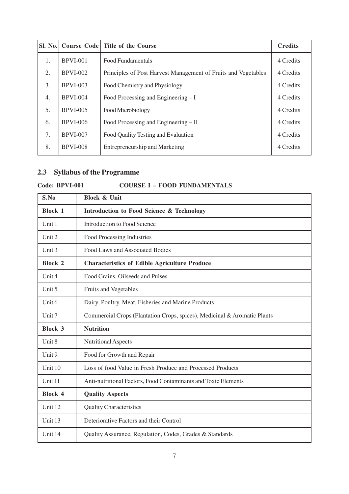|    |                 | Sl. No. Course Code Title of the Course                        | <b>Credits</b> |
|----|-----------------|----------------------------------------------------------------|----------------|
| 1. | <b>BPVI-001</b> | <b>Food Fundamentals</b>                                       | 4 Credits      |
| 2. | $BPVI-002$      | Principles of Post Harvest Management of Fruits and Vegetables | 4 Credits      |
| 3. | <b>BPVI-003</b> | Food Chemistry and Physiology                                  | 4 Credits      |
| 4. | $BPVI-004$      | Food Processing and Engineering – I                            | 4 Credits      |
| 5. | <b>BPVI-005</b> | Food Microbiology                                              | 4 Credits      |
| 6. | <b>BPVI-006</b> | Food Processing and Engineering – II                           | 4 Credits      |
| 7. | <b>BPVI-007</b> | Food Quality Testing and Evaluation                            | 4 Credits      |
| 8. | <b>BPVI-008</b> | Entrepreneurship and Marketing                                 | 4 Credits      |

# **2.3 Syllabus of the Programme**

# **Code: BPVI-001 COURSE I – FOOD FUNDAMENTALS**

| S.No           | <b>Block &amp; Unit</b>                                                  |
|----------------|--------------------------------------------------------------------------|
| <b>Block 1</b> | Introduction to Food Science & Technology                                |
| Unit 1         | <b>Introduction to Food Science</b>                                      |
| Unit $2$       | Food Processing Industries                                               |
| Unit $3$       | Food Laws and Associated Bodies                                          |
| <b>Block 2</b> | <b>Characteristics of Edible Agriculture Produce</b>                     |
| Unit $4$       | Food Grains, Oilseeds and Pulses                                         |
| Unit 5         | Fruits and Vegetables                                                    |
| Unit 6         | Dairy, Poultry, Meat, Fisheries and Marine Products                      |
| Unit $7$       | Commercial Crops (Plantation Crops, spices), Medicinal & Aromatic Plants |
| <b>Block 3</b> | <b>Nutrition</b>                                                         |
| Unit 8         | Nutritional Aspects                                                      |
| Unit $9$       | Food for Growth and Repair                                               |
| Unit 10        | Loss of food Value in Fresh Produce and Processed Products               |
| Unit 11        | Anti-nutritional Factors, Food Contaminants and Toxic Elements           |
| <b>Block 4</b> | <b>Quality Aspects</b>                                                   |
| Unit 12        | <b>Quality Characteristics</b>                                           |
| Unit 13        | Deteriorative Factors and their Control                                  |
| Unit 14        | Quality Assurance, Regulation, Codes, Grades & Standards                 |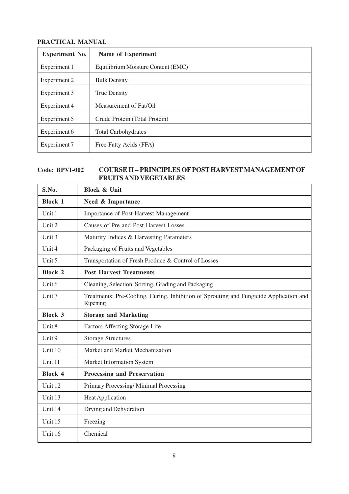| <b>Experiment No.</b> | Name of Experiment                 |
|-----------------------|------------------------------------|
| Experiment 1          | Equilibrium Moisture Content (EMC) |
| Experiment 2          | <b>Bulk Density</b>                |
| Experiment 3          | <b>True Density</b>                |
| Experiment 4          | Measurement of Fat/Oil             |
| Experiment 5          | Crude Protein (Total Protein)      |
| Experiment 6          | <b>Total Carbohydrates</b>         |
| Experiment 7          | Free Fatty Acids (FFA)             |

# **Code: BPVI-002 COURSE II – PRINCIPLES OF POST HARVEST MANAGEMENT OF FRUITS AND VEGETABLES**

| S.No.             | <b>Block &amp; Unit</b>                                                                            |
|-------------------|----------------------------------------------------------------------------------------------------|
| <b>Block 1</b>    | Need & Importance                                                                                  |
| Unit 1            | Importance of Post Harvest Management                                                              |
| Unit 2            | Causes of Pre and Post Harvest Losses                                                              |
| Unit 3            | Maturity Indices & Harvesting Parameters                                                           |
| Unit 4            | Packaging of Fruits and Vegetables                                                                 |
| Unit 5            | Transportation of Fresh Produce & Control of Losses                                                |
| <b>Block 2</b>    | <b>Post Harvest Treatments</b>                                                                     |
| Unit 6            | Cleaning, Selection, Sorting, Grading and Packaging                                                |
| Unit <sub>7</sub> | Treatments: Pre-Cooling, Curing, Inhibition of Sprouting and Fungicide Application and<br>Ripening |
| <b>Block 3</b>    | <b>Storage and Marketing</b>                                                                       |
| Unit 8            | Factors Affecting Storage Life                                                                     |
| Unit 9            | <b>Storage Structures</b>                                                                          |
| Unit 10           | Market and Market Mechanization                                                                    |
| Unit 11           | Market Information System                                                                          |
| <b>Block 4</b>    | <b>Processing and Preservation</b>                                                                 |
| Unit 12           | Primary Processing/Minimal Processing                                                              |
| Unit 13           | Heat Application                                                                                   |
| Unit 14           | Drying and Dehydration                                                                             |
| Unit 15           | Freezing                                                                                           |
| Unit 16           | Chemical                                                                                           |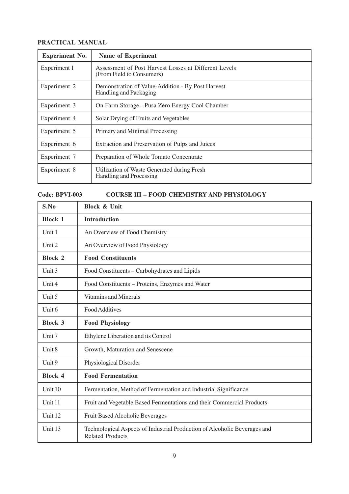| <b>Experiment No.</b> | Name of Experiment                                                                 |
|-----------------------|------------------------------------------------------------------------------------|
| Experiment 1          | Assessment of Post Harvest Losses at Different Levels<br>(From Field to Consumers) |
| Experiment 2          | Demonstration of Value-Addition - By Post Harvest<br>Handling and Packaging        |
| Experiment 3          | On Farm Storage - Pusa Zero Energy Cool Chamber                                    |
| Experiment 4          | Solar Drying of Fruits and Vegetables                                              |
| Experiment 5          | Primary and Minimal Processing                                                     |
| Experiment 6          | Extraction and Preservation of Pulps and Juices                                    |
| Experiment 7          | Preparation of Whole Tomato Concentrate                                            |
| Experiment 8          | Utilization of Waste Generated during Fresh<br>Handling and Processing             |

### **Code: BPVI-003 COURSE III – FOOD CHEMISTRY AND PHYSIOLOGY**

| S.No           | <b>Block &amp; Unit</b>                                                                              |
|----------------|------------------------------------------------------------------------------------------------------|
| <b>Block 1</b> | <b>Introduction</b>                                                                                  |
| Unit 1         | An Overview of Food Chemistry                                                                        |
| Unit 2         | An Overview of Food Physiology                                                                       |
| <b>Block 2</b> | <b>Food Constituents</b>                                                                             |
| Unit 3         | Food Constituents - Carbohydrates and Lipids                                                         |
| Unit $4$       | Food Constituents - Proteins, Enzymes and Water                                                      |
| Unit 5         | <b>Vitamins and Minerals</b>                                                                         |
| Unit 6         | Food Additives                                                                                       |
| <b>Block 3</b> | <b>Food Physiology</b>                                                                               |
| Unit 7         | Ethylene Liberation and its Control                                                                  |
| Unit 8         | Growth, Maturation and Senescene                                                                     |
| Unit 9         | Physiological Disorder                                                                               |
| <b>Block 4</b> | <b>Food Fermentation</b>                                                                             |
| Unit 10        | Fermentation, Method of Fermentation and Industrial Significance                                     |
| Unit 11        | Fruit and Vegetable Based Fermentations and their Commercial Products                                |
| Unit 12        | Fruit Based Alcoholic Beverages                                                                      |
| Unit 13        | Technological Aspects of Industrial Production of Alcoholic Beverages and<br><b>Related Products</b> |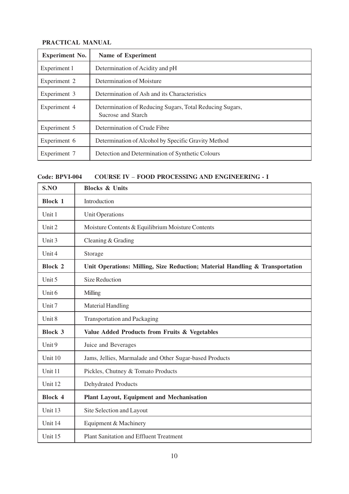| <b>Experiment No.</b> | <b>Name of Experiment</b>                                                      |
|-----------------------|--------------------------------------------------------------------------------|
| Experiment 1          | Determination of Acidity and pH                                                |
| Experiment 2          | Determination of Moisture                                                      |
| Experiment 3          | Determination of Ash and its Characteristics                                   |
| Experiment 4          | Determination of Reducing Sugars, Total Reducing Sugars,<br>Sucrose and Starch |
| Experiment 5          | Determination of Crude Fibre                                                   |
| Experiment 6          | Determination of Alcohol by Specific Gravity Method                            |
| Experiment 7          | Detection and Determination of Synthetic Colours                               |

### **Code: BPVI-004 COURSE IV** – **FOOD PROCESSING AND ENGINEERING - I**

| S.NO           | <b>Blocks &amp; Units</b>                                                    |
|----------------|------------------------------------------------------------------------------|
| <b>Block 1</b> | Introduction                                                                 |
| Unit 1         | <b>Unit Operations</b>                                                       |
| Unit 2         | Moisture Contents & Equilibrium Moisture Contents                            |
| Unit 3         | Cleaning & Grading                                                           |
| Unit 4         | Storage                                                                      |
| <b>Block 2</b> | Unit Operations: Milling, Size Reduction; Material Handling & Transportation |
| Unit 5         | <b>Size Reduction</b>                                                        |
| Unit 6         | Milling                                                                      |
| Unit 7         | <b>Material Handling</b>                                                     |
| Unit 8         | <b>Transportation and Packaging</b>                                          |
| <b>Block 3</b> | Value Added Products from Fruits & Vegetables                                |
| Unit 9         | Juice and Beverages                                                          |
| Unit 10        | Jams, Jellies, Marmalade and Other Sugar-based Products                      |
| Unit 11        | Pickles, Chutney & Tomato Products                                           |
| Unit 12        | Dehydrated Products                                                          |
| <b>Block 4</b> | <b>Plant Layout, Equipment and Mechanisation</b>                             |
| Unit 13        | Site Selection and Layout                                                    |
| Unit 14        | Equipment & Machinery                                                        |
| Unit 15        | <b>Plant Sanitation and Effluent Treatment</b>                               |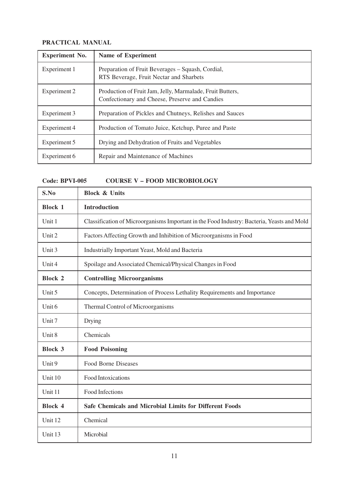| <b>Experiment No.</b> | <b>Name of Experiment</b>                                                                                   |
|-----------------------|-------------------------------------------------------------------------------------------------------------|
| Experiment 1          | Preparation of Fruit Beverages – Squash, Cordial,<br>RTS Beverage, Fruit Nectar and Sharbets                |
| Experiment 2          | Production of Fruit Jam, Jelly, Marmalade, Fruit Butters,<br>Confectionary and Cheese, Preserve and Candies |
| Experiment 3          | Preparation of Pickles and Chutneys, Relishes and Sauces                                                    |
| Experiment 4          | Production of Tomato Juice, Ketchup, Puree and Paste                                                        |
| Experiment 5          | Drying and Dehydration of Fruits and Vegetables                                                             |
| Experiment 6          | Repair and Maintenance of Machines                                                                          |

### **Code: BPVI-005 COURSE V – FOOD MICROBIOLOGY**

| S.No           | <b>Block &amp; Units</b>                                                                   |
|----------------|--------------------------------------------------------------------------------------------|
| <b>Block 1</b> | <b>Introduction</b>                                                                        |
| Unit 1         | Classification of Microorganisms Important in the Food Industry: Bacteria, Yeasts and Mold |
| Unit 2         | Factors Affecting Growth and Inhibition of Microorganisms in Food                          |
| Unit 3         | Industrially Important Yeast, Mold and Bacteria                                            |
| Unit 4         | Spoilage and Associated Chemical/Physical Changes in Food                                  |
| <b>Block 2</b> | <b>Controlling Microorganisms</b>                                                          |
| Unit 5         | Concepts, Determination of Process Lethality Requirements and Importance                   |
| Unit 6         | Thermal Control of Microorganisms                                                          |
| Unit 7         | Drying                                                                                     |
| Unit 8         | Chemicals                                                                                  |
| <b>Block 3</b> | <b>Food Poisoning</b>                                                                      |
| Unit 9         | Food Borne Diseases                                                                        |
| Unit 10        | Food Intoxications                                                                         |
| Unit 11        | <b>Food Infections</b>                                                                     |
| <b>Block 4</b> | <b>Safe Chemicals and Microbial Limits for Different Foods</b>                             |
| Unit 12        | Chemical                                                                                   |
| Unit 13        | Microbial                                                                                  |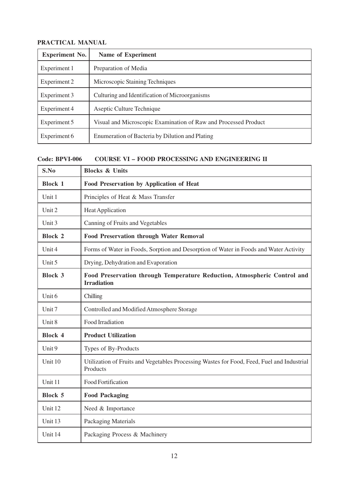è

| <b>Experiment No.</b> | <b>Name of Experiment</b>                                       |
|-----------------------|-----------------------------------------------------------------|
| Experiment 1          | Preparation of Media                                            |
| Experiment 2          | Microscopic Staining Techniques                                 |
| Experiment 3          | Culturing and Identification of Microorganisms                  |
| Experiment 4          | Aseptic Culture Technique                                       |
| Experiment 5          | Visual and Microscopic Examination of Raw and Processed Product |
| Experiment 6          | Enumeration of Bacteria by Dilution and Plating                 |

**Code: BPVI-006 COURSE VI – FOOD PROCESSING AND ENGINEERING II**

| S.No           | <b>Blocks &amp; Units</b>                                                                              |
|----------------|--------------------------------------------------------------------------------------------------------|
| <b>Block 1</b> | Food Preservation by Application of Heat                                                               |
| Unit 1         | Principles of Heat & Mass Transfer                                                                     |
| Unit 2         | <b>Heat Application</b>                                                                                |
| Unit 3         | Canning of Fruits and Vegetables                                                                       |
| <b>Block 2</b> | <b>Food Preservation through Water Removal</b>                                                         |
| Unit 4         | Forms of Water in Foods, Sorption and Desorption of Water in Foods and Water Activity                  |
| Unit 5         | Drying, Dehydration and Evaporation                                                                    |
| <b>Block 3</b> | Food Preservation through Temperature Reduction, Atmospheric Control and<br><b>Irradiation</b>         |
| Unit 6         | Chilling                                                                                               |
| Unit 7         | Controlled and Modified Atmosphere Storage                                                             |
| Unit 8         | Food Irradiation                                                                                       |
| <b>Block 4</b> | <b>Product Utilization</b>                                                                             |
| Unit 9         | Types of By-Products                                                                                   |
| Unit 10        | Utilization of Fruits and Vegetables Processing Wastes for Food, Feed, Fuel and Industrial<br>Products |
| Unit 11        | Food Fortification                                                                                     |
| <b>Block 5</b> | <b>Food Packaging</b>                                                                                  |
| Unit 12        | Need & Importance                                                                                      |
| Unit 13        | Packaging Materials                                                                                    |
| Unit 14        | Packaging Process & Machinery                                                                          |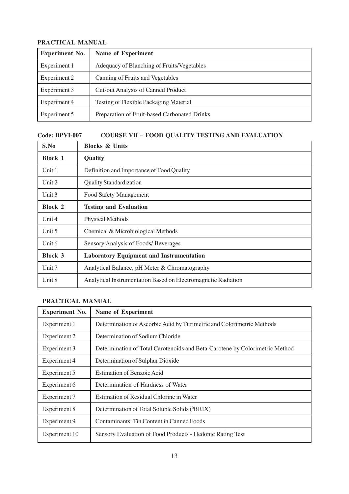| <b>Experiment No.</b> | Name of Experiment                           |
|-----------------------|----------------------------------------------|
| Experiment 1          | Adequacy of Blanching of Fruits/Vegetables   |
| Experiment 2          | Canning of Fruits and Vegetables             |
| Experiment 3          | <b>Cut-out Analysis of Canned Product</b>    |
| Experiment 4          | Testing of Flexible Packaging Material       |
| Experiment 5          | Preparation of Fruit-based Carbonated Drinks |

# **Code: BPVI-007 COURSE VII – FOOD QUALITY TESTING AND EVALUATION**

| S.No           | <b>Blocks &amp; Units</b>                                     |  |  |  |  |
|----------------|---------------------------------------------------------------|--|--|--|--|
| <b>Block 1</b> | Quality                                                       |  |  |  |  |
| Unit 1         | Definition and Importance of Food Quality                     |  |  |  |  |
| Unit 2         | <b>Quality Standardization</b>                                |  |  |  |  |
| Unit 3         | Food Safety Management                                        |  |  |  |  |
| <b>Block 2</b> | <b>Testing and Evaluation</b>                                 |  |  |  |  |
| Unit 4         | <b>Physical Methods</b>                                       |  |  |  |  |
| Unit $5$       | Chemical & Microbiological Methods                            |  |  |  |  |
| Unit 6         | Sensory Analysis of Foods/ Beverages                          |  |  |  |  |
| <b>Block 3</b> | <b>Laboratory Equipment and Instrumentation</b>               |  |  |  |  |
| Unit 7         | Analytical Balance, pH Meter & Chromatography                 |  |  |  |  |
| Unit 8         | Analytical Instrumentation Based on Electromagnetic Radiation |  |  |  |  |

# **PRACTICAL MANUAL**

| <b>Experiment No.</b> | <b>Name of Experiment</b>                                                   |
|-----------------------|-----------------------------------------------------------------------------|
| Experiment 1          | Determination of Ascorbic Acid by Titrimetric and Colorimetric Methods      |
| Experiment 2          | Determination of Sodium Chloride                                            |
| Experiment 3          | Determination of Total Carotenoids and Beta-Carotene by Colorimetric Method |
| Experiment 4          | Determination of Sulphur Dioxide                                            |
| Experiment 5          | <b>Estimation of Benzoic Acid</b>                                           |
| Experiment 6          | Determination of Hardness of Water                                          |
| Experiment 7          | Estimation of Residual Chlorine in Water                                    |
| Experiment 8          | Determination of Total Soluble Solids ( <sup>0</sup> BRIX)                  |
| Experiment 9          | Contaminants: Tin Content in Canned Foods                                   |
| Experiment 10         | Sensory Evaluation of Food Products - Hedonic Rating Test                   |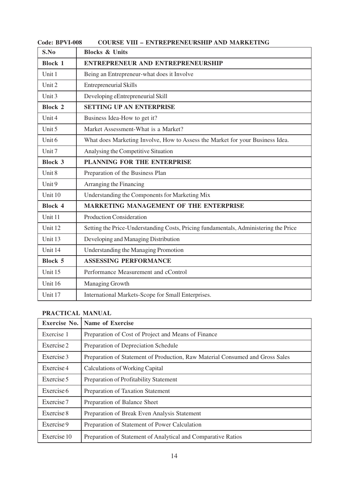| S.No           | <b>Blocks &amp; Units</b>                                                            |
|----------------|--------------------------------------------------------------------------------------|
| <b>Block 1</b> | <b>ENTREPRENEUR AND ENTREPRENEURSHIP</b>                                             |
| Unit 1         | Being an Entrepreneur-what does it Involve                                           |
| Unit 2         | <b>Entrepreneurial Skills</b>                                                        |
| Unit 3         | Developing eEntrepreneurial Skill                                                    |
| <b>Block 2</b> | <b>SETTING UP AN ENTERPRISE</b>                                                      |
| Unit 4         | Business Idea-How to get it?                                                         |
| Unit 5         | Market Assessment-What is a Market?                                                  |
| Unit 6         | What does Marketing Involve, How to Assess the Market for your Business Idea.        |
| Unit 7         | Analysing the Competitive Situation                                                  |
| <b>Block 3</b> | PLANNING FOR THE ENTERPRISE                                                          |
| Unit 8         | Preparation of the Business Plan                                                     |
| Unit 9         | Arranging the Financing                                                              |
| Unit 10        | Understanding the Components for Marketing Mix                                       |
| <b>Block 4</b> | <b>MARKETING MANAGEMENT OF THE ENTERPRISE</b>                                        |
| Unit 11        | <b>Production Consideration</b>                                                      |
| Unit 12        | Setting the Price-Understanding Costs, Pricing fundamentals, Administering the Price |
| Unit 13        | Developing and Managing Distribution                                                 |
| Unit 14        | Understanding the Managing Promotion                                                 |
| <b>Block 5</b> | <b>ASSESSING PERFORMANCE</b>                                                         |
| Unit 15        | Performance Measurement and cControl                                                 |
| Unit 16        | Managing Growth                                                                      |
| Unit 17        | International Markets-Scope for Small Enterprises.                                   |

# **Code: BPVI-008 COURSE VIII – ENTREPRENEURSHIP AND MARKETING**

# **PRACTICAL MANUAL**

| <b>Exercise No.</b> | <b>Name of Exercise</b>                                                       |
|---------------------|-------------------------------------------------------------------------------|
| Exercise 1          | Preparation of Cost of Project and Means of Finance                           |
| Exercise 2          | Preparation of Depreciation Schedule                                          |
| Exercise 3          | Preparation of Statement of Production, Raw Material Consumed and Gross Sales |
| Exercise 4          | <b>Calculations of Working Capital</b>                                        |
| Exercise 5          | Preparation of Profitability Statement                                        |
| Exercise 6          | Preparation of Taxation Statement                                             |
| Exercise 7          | Preparation of Balance Sheet                                                  |
| Exercise 8          | Preparation of Break Even Analysis Statement                                  |
| Exercise 9          | Preparation of Statement of Power Calculation                                 |
| Exercise 10         | Preparation of Statement of Analytical and Comparative Ratios                 |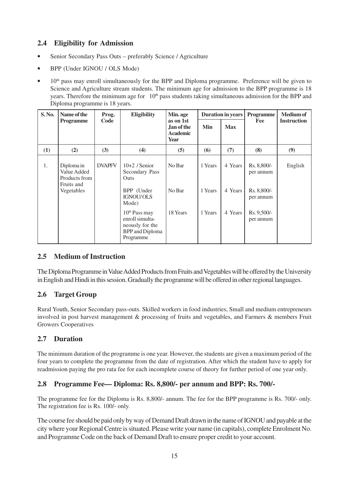# **2.4 Eligibility for Admission**

- Senior Secondary Pass Outs preferably Science / Agriculture
- BPP (Under IGNOU / OLS Mode)
- $10<sup>th</sup>$  pass may enroll simultaneously for the BPP and Diploma programme. Preference will be given to Science and Agriculture stream students. The minimum age for admission to the BPP programme is 18 years. Therefore the minimum age for 10<sup>th</sup> pass students taking simultaneous admission for the BPP and Diploma programme is 18 years.

| S. No. | Name of the                                                            | Prog.         | <b>Eligibility</b>                                                                                     | Min. age                                           | Duration in years  |                    | Programme                               | <b>Medium of</b>   |
|--------|------------------------------------------------------------------------|---------------|--------------------------------------------------------------------------------------------------------|----------------------------------------------------|--------------------|--------------------|-----------------------------------------|--------------------|
|        | <b>Programme</b>                                                       | Code          |                                                                                                        | as on 1st<br>Jan of the<br><b>Academic</b><br>Year | Min                | <b>Max</b>         | Fee                                     | <b>Instruction</b> |
| (1)    | (2)                                                                    | (3)           | (4)                                                                                                    | (5)                                                | (6)                | (7)                | (8)                                     | (9)                |
| 1.     | Diploma in<br>Value Added<br>Products from<br>Fruits and<br>Vegetables | <b>DVAPFV</b> | $10+2$ / Senior<br>Secondary Pass<br><b>Outs</b><br>BPP (Under                                         | No Bar<br>No Bar                                   | 1 Years<br>1 Years | 4 Years<br>4 Years | Rs. 8,800/-<br>per annum<br>Rs. 8,800/- | English            |
|        |                                                                        |               | <b>IGNOU/OLS</b><br>Mode)                                                                              |                                                    |                    |                    | per annum                               |                    |
|        |                                                                        |               | 10 <sup>th</sup> Pass may<br>enroll simulta-<br>neously for the<br><b>BPP</b> and Diploma<br>Programme | 18 Years                                           | 1 Years            | 4 Years            | Rs. 9,500/-<br>per annum                |                    |

# **2.5 Medium of Instruction**

The Diploma Programme in Value Added Products from Fruits and Vegetables will be offered by the University in English and Hindi in this session. Gradually the programme will be offered in other regional languages.

# **2.6 Target Group**

Rural Youth, Senior Secondary pass-outs. Skilled workers in food industries, Small and medium entrepreneurs involved in post harvest management & processing of fruits and vegetables, and Farmers & members Fruit Growers Cooperatives

# **2.7 Duration**

The minimum duration of the programme is one year. However, the students are given a maximum period of the four years to complete the programme from the date of registration. After which the student have to apply for readmission paying the pro rata fee for each incomplete course of theory for further period of one year only.

# **2.8 Programme Fee— Diploma: Rs. 8,800/- per annum and BPP: Rs. 700/-**

The programme fee for the Diploma is Rs. 8,800/- annum. The fee for the BPP programme is Rs. 700/- only. The registration fee is Rs. 100/- only.

The course fee should be paid only by way of Demand Draft drawn in the name of IGNOU and payable at the city where your Regional Centre is situated. Please write your name (in capitals), complete Enrolment No. and Programme Code on the back of Demand Draft to ensure proper credit to your account.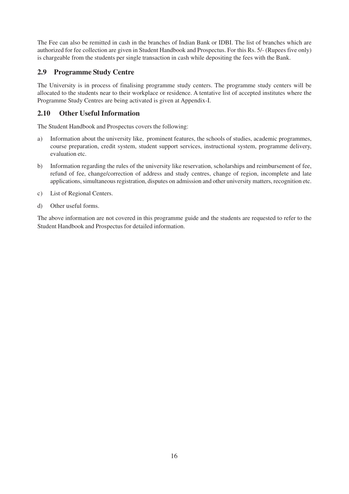The Fee can also be remitted in cash in the branches of Indian Bank or IDBI. The list of branches which are authorized for fee collection are given in Student Handbook and Prospectus. For this Rs. 5/- (Rupees five only) is chargeable from the students per single transaction in cash while depositing the fees with the Bank.

# **2.9 Programme Study Centre**

The University is in process of finalising programme study centers. The programme study centers will be allocated to the students near to their workplace or residence. A tentative list of accepted institutes where the Programme Study Centres are being activated is given at Appendix-I.

# **2.10 Other Useful Information**

The Student Handbook and Prospectus covers the following:

- a) Information about the university like, prominent features, the schools of studies, academic programmes, course preparation, credit system, student support services, instructional system, programme delivery, evaluation etc.
- b) Information regarding the rules of the university like reservation, scholarships and reimbursement of fee, refund of fee, change/correction of address and study centres, change of region, incomplete and late applications, simultaneous registration, disputes on admission and other university matters, recognition etc.
- c) List of Regional Centers.
- d) Other useful forms.

The above information are not covered in this programme guide and the students are requested to refer to the Student Handbook and Prospectus for detailed information.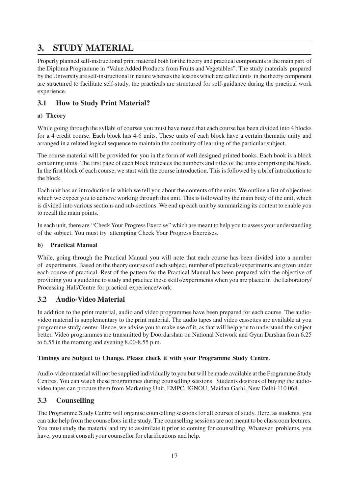# **3. STUDY MATERIAL**

Properly planned self-instructional print material both for the theory and practical components is the main part of the Diploma Programme in "Value Added Products from Fruits and Vegetables". The study materials prepared by the University are self-instructional in nature whereas the lessons which are called units in the theory component are structured to facilitate self-study, the practicals are structured for self-guidance during the practical work experience.

# **3.1 How to Study Print Material?**

### **a) Theory**

While going through the syllabi of courses you must have noted that each course has been divided into 4 blocks for a 4 credit course. Each block has 4-6 units. These units of each block have a certain thematic unity and arranged in a related logical sequence to maintain the continuity of learning of the particular subject.

The course material will be provided for you in the form of well designed printed books. Each book is a block containing units. The first page of each block indicates the numbers and titles of the units comprising the block. In the first block of each course, we start with the course introduction. This is followed by a brief introduction to the block.

Each unit has an introduction in which we tell you about the contents of the units. We outline a list of objectives which we expect you to achieve working through this unit. This is followed by the main body of the unit, which is divided into various sections and sub-sections. We end up each unit by summarizing its content to enable you to recall the main points.

In each unit, there are ''Check Your Progress Exercise'' which are meant to help you to assess your understanding of the subject. You must try attempting Check Your Progress Exercises.

### **b) Practical Manual**

While, going through the Practical Manual you will note that each course has been divided into a number of experiments. Based on the theory courses of each subject, number of practicals/experiments are given under each course of practical. Rest of the pattern for the Practical Manual has been prepared with the objective of providing you a guideline to study and practice these skills/experiments when you are placed in the Laboratory/ Processing Hall/Centre for practical experience/work.

# **3.2 Audio-Video Material**

In addition to the print material, audio and video programmes have been prepared for each course. The audiovideo material is supplementary to the print material. The audio tapes and video cassettes are available at you programme study center. Hence, we advise you to make use of it, as that will help you to understand the subject better. Video programmes are transmitted by Doordarshan on National Network and Gyan Darshan from 6.25 to 6.55 in the morning and evening 8.00-8.55 p.m.

### **Timings are Subject to Change. Please check it with your Programme Study Centre.**

Audio-video material will not be supplied individually to you but will be made available at the Programme Study Centres. You can watch these programmes during counselling sessions. Students desirous of buying the audiovideo tapes can procure them from Marketing Unit, EMPC, IGNOU, Maidan Garhi, New Delhi-110 068.

### **3.3 Counselling**

The Programme Study Centre will organise counselling sessions for all courses of study. Here, as students, you can take help from the counsellors in the study. The counselling sessions are not meant to be classroom lectures. You must study the material and try to assimilate it prior to coming for counselling. Whatever problems, you have, you must consult your counsellor for clarifications and help.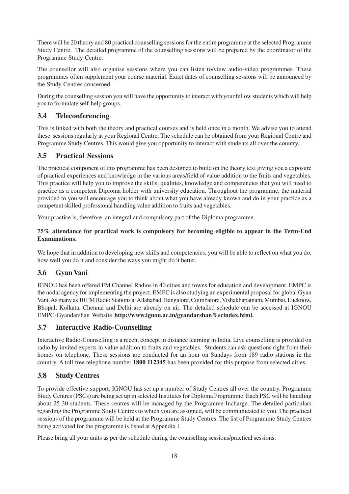There will be 20 theory and 80 practical counselling sessions for the entire programme at the selected Programme Study Centre. The detailed programme of the counselling sessions will be prepared by the coordinator of the Programme Study Centre.

The counsellor will also organise sessions where you can listen to/view audio-video programmes. These programmes often supplement your course material. Exact dates of counselling sessions will be announced by the Study Centres concerned.

During the counselling session you will have the opportunity to interact with your fellow students which will help you to formulate self-help groups.

# **3.4 Teleconferencing**

This is linked with both the theory and practical courses and is held once in a month. We advise you to attend these sessions regularly at your Regional Centre. The schedule can be obtained from your Regional Centre and Programme Study Centres. This would give you opportunity to interact with students all over the country.

# **3.5 Practical Sessions**

The practical component of this programme has been designed to build on the theory text giving you a exposure of practical experiences and knowledge in the various areas/field of value addition to the fruits and vegetables. This practice will help you to improve the skills, qualities, knowledge and competencies that you will need to practice as a competent Diploma holder with university education. Throughout the programme, the material provided to you will encourage you to think about what you have already known and do in your practice as a competent skilled professional handling value addition to fruits and vegetables.

Your practice is, therefore, an integral and compulsory part of the Diploma programme.

### **75% attendance for practical work is compulsory for becoming eligible to appear in the Term-End Examinations.**

We hope that in addition to developing new skills and competencies, you will be able to reflect on what you do, how well you do it and consider the ways you might do it better.

### **3.6 Gyan Vani**

IGNOU has been offered FM Channel Radios in 40 cities and towns for education and development. EMPC is the nodal agency for implementing the project. EMPC is also studying an experimental proposal for global Gyan Vani. As many as 10 FM Radio Stations at Allahabad, Bangalore, Coimbatore, Vishakhapatnam, Mumbai, Lucknow, Bhopal, Kolkata, Chennai and Delhi are already on air. The detailed schedule can be accessed at IGNOU EMPC-Gyandarshan Website **http://www.ignou.ac.in/gyandarshan%scindex.html.**

# **3.7 Interactive Radio-Counselling**

Interactive Radio-Counselling is a recent concept in distance learning in India. Live counselling is provided on radio by invited experts in value addition to fruits and vegetables. Students can ask questions right from their homes on telephone. These sessions are conducted for an hour on Sundays from 189 radio stations in the country. A toll free telephone number **1800 112345** has been provided for this purpose from selected cities.

# **3.8 Study Centres**

To provide effective support, IGNOU has set up a number of Study Centres all over the country. Programme Study Centres (PSCs) are being set up in selected Institutes for Diploma Programme. Each PSC will be handling about 25-30 students. These centres will be managed by the Programme Incharge. The detailed particulars regarding the Programme Study Centres to which you are assigned, will be communicated to you. The practical sessions of the programme will be held at the Programme Study Centres. The list of Programme Study Centres being activated for the programme is listed at Appendix I.

Please bring all your units as per the schedule during the counselling sessions/practical sessions.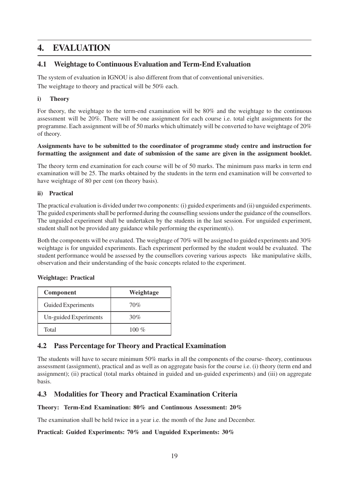# **4. EVALUATION**

### **4.1 Weightage to Continuous Evaluation and Term-End Evaluation**

The system of evaluation in IGNOU is also different from that of conventional universities. The weightage to theory and practical will be 50% each.

### **i) Theory**

For theory, the weightage to the term-end examination will be 80% and the weightage to the continuous assessment will be 20%. There will be one assignment for each course i.e. total eight assignments for the programme. Each assignment will be of 50 marks which ultimately will be converted to have weightage of 20% of theory.

### **Assignments have to be submitted to the coordinator of programme study centre and instruction for formatting the assignment and date of submission of the same are given in the assignment booklet.**

The theory term end examination for each course will be of 50 marks. The minimum pass marks in term end examination will be 25. The marks obtained by the students in the term end examination will be converted to have weightage of 80 per cent (on theory basis).

### **ii) Practical**

The practical evaluation is divided under two components: (i) guided experiments and (ii) unguided experiments. The guided experiments shall be performed during the counselling sessions under the guidance of the counsellors. The unguided experiment shall be undertaken by the students in the last session. For unguided experiment, student shall not be provided any guidance while performing the experiment(s).

Both the components will be evaluated. The weightage of 70% will be assigned to guided experiments and 30% weightage is for unguided experiments. Each experiment performed by the student would be evaluated. The student performance would be assessed by the counsellors covering various aspects like manipulative skills, observation and their understanding of the basic concepts related to the experiment.

| Component             | Weightage |
|-----------------------|-----------|
| Guided Experiments    | 70%       |
| Un-guided Experiments | 30%       |
| Total                 | 100 $\%$  |

### **Weightage: Practical**

### **4.2 Pass Percentage for Theory and Practical Examination**

The students will have to secure minimum 50% marks in all the components of the course- theory, continuous assessment (assignment), practical and as well as on aggregate basis for the course i.e. (i) theory (term end and assignment); (ii) practical (total marks obtained in guided and un-guided experiments) and (iii) on aggregate basis.

### **4.3 Modalities for Theory and Practical Examination Criteria**

### **Theory: Term-End Examination: 80% and Continuous Assessment: 20%**

The examination shall be held twice in a year i.e. the month of the June and December.

### **Practical: Guided Experiments: 70% and Unguided Experiments: 30%**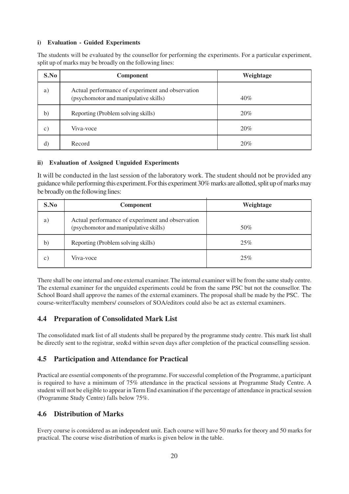### **i) Evaluation - Guided Experiments**

The students will be evaluated by the counsellor for performing the experiments. For a particular experiment, split up of marks may be broadly on the following lines:

| S.No          | <b>Component</b>                                                                          | Weightage |
|---------------|-------------------------------------------------------------------------------------------|-----------|
| a)            | Actual performance of experiment and observation<br>(psychomotor and manipulative skills) | $40\%$    |
| b)            | Reporting (Problem solving skills)                                                        | 20%       |
| $\mathbf{c})$ | Viva-voce                                                                                 | 20%       |
| $\rm d)$      | Record                                                                                    | 20%       |

### **ii) Evaluation of Assigned Unguided Experiments**

It will be conducted in the last session of the laboratory work. The student should not be provided any guidance while performing this experiment. For this experiment 30% marks are allotted, split up of marks may be broadly on the following lines:

| S.No          | Component                                                                                 | Weightage |
|---------------|-------------------------------------------------------------------------------------------|-----------|
| a)            | Actual performance of experiment and observation<br>(psychomotor and manipulative skills) | 50%       |
| b)            | Reporting (Problem solving skills)                                                        | 25%       |
| $\mathcal{C}$ | Viva-voce                                                                                 | 25%       |

There shall be one internal and one external examiner. The internal examiner will be from the same study centre. The external examiner for the unguided experiments could be from the same PSC but not the counsellor. The School Board shall approve the names of the external examiners. The proposal shall be made by the PSC. The course-writer/faculty members/ counselors of SOA/editors could also be act as external examiners.

### **4.4 Preparation of Consolidated Mark List**

The consolidated mark list of all students shall be prepared by the programme study centre. This mark list shall be directly sent to the registrar, sre&d within seven days after completion of the practical counselling session.

### **4.5 Participation and Attendance for Practical**

Practical are essential components of the programme. For successful completion of the Programme, a participant is required to have a minimum of 75% attendance in the practical sessions at Programme Study Centre. A student will not be eligible to appear in Term End examination if the percentage of attendance in practical session (Programme Study Centre) falls below 75%.

### **4.6 Distribution of Marks**

Every course is considered as an independent unit. Each course will have 50 marks for theory and 50 marks for practical. The course wise distribution of marks is given below in the table.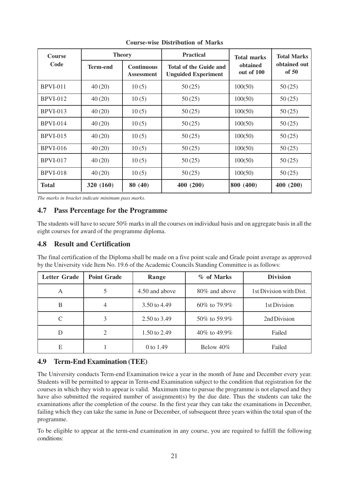| <b>Course</b>   | <b>Theory</b> |                                        | <b>Practical</b>                                            | <b>Total marks</b>     | <b>Total Marks</b>    |
|-----------------|---------------|----------------------------------------|-------------------------------------------------------------|------------------------|-----------------------|
| Code            | Term-end      | <b>Continuous</b><br><b>Assessment</b> | <b>Total of the Guide and</b><br><b>Unguided Experiment</b> | obtained<br>out of 100 | obtained out<br>of 50 |
| <b>BPVI-011</b> | 40(20)        | 10(5)                                  | 50(25)                                                      | 100(50)                | 50(25)                |
| <b>BPVI-012</b> | 40(20)        | 10(5)                                  | 50(25)                                                      | 100(50)                | 50(25)                |
| <b>BPVI-013</b> | 40(20)        | 10(5)                                  | 50(25)                                                      | 100(50)                | 50(25)                |
| <b>BPVI-014</b> | 40(20)        | 10(5)                                  | 50(25)                                                      | 100(50)                | 50(25)                |
| <b>BPVI-015</b> | 40(20)        | 10(5)                                  | 50(25)                                                      | 100(50)                | 50(25)                |
| <b>BPVI-016</b> | 40(20)        | 10(5)                                  | 50(25)                                                      | 100(50)                | 50(25)                |
| <b>BPVI-017</b> | 40(20)        | 10(5)                                  | 50(25)                                                      | 100(50)                | 50(25)                |
| <b>BPVI-018</b> | 40(20)        | 10(5)                                  | 50(25)                                                      | 100(50)                | 50(25)                |
| <b>Total</b>    | 320 (160)     | 80 (40)                                | 400 (200)                                                   | 800 (400)              | 400 (200)             |

**Course-wise Distribution of Marks**

*The marks in bracket indicate minimum pass marks.*

### **4.7 Pass Percentage for the Programme**

The students will have to secure 50% marks in all the courses on individual basis and on aggregate basis in all the eight courses for award of the programme diploma.

### **4.8 Result and Certification**

The final certification of the Diploma shall be made on a five point scale and Grade point average as approved by the University vide Item No. 19.6 of the Academic Councils Standing Committee is as follows:

| <b>Letter Grade</b> | <b>Point Grade</b> | Range                            | % of Marks     | <b>Division</b>         |
|---------------------|--------------------|----------------------------------|----------------|-------------------------|
| Α                   |                    | 4.50 and above<br>80\% and above |                | 1st Division with Dist. |
| B                   |                    | 3.50 to 4.49                     | 60\% to 79.9\% | 1st Division            |
| $\mathcal{C}$       | 3                  | 2.50 to 3.49                     | 50\% to 59.9\% | 2nd Division            |
| D                   |                    | 1.50 to 2.49                     | 40% to 49.9%   | Failed                  |
| E                   |                    | 0 to 1.49                        | Below $40\%$   | Failed                  |

### **4.9 Term-End Examination (TEE)**

The University conducts Term-end Examination twice a year in the month of June and December every year. Students will be permitted to appear in Term-end Examination subject to the condition that registration for the courses in which they wish to appear is valid. Maximum time to pursue the programme is not elapsed and they have also submitted the required number of assignment(s) by the due date. Thus the students can take the examinations after the completion of the course. In the first year they can take the examinations in December, failing which they can take the same in June or December, of subsequent three years within the total span of the programme.

To be eligible to appear at the term-end examination in any course, you are required to fulfill the following conditions: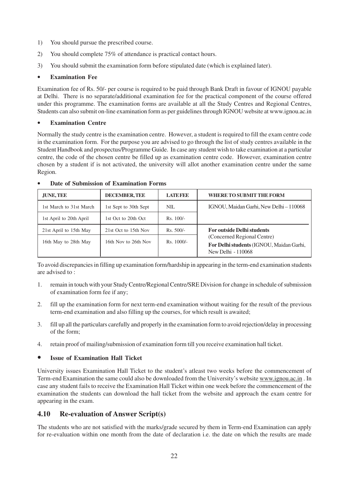- 1) You should pursue the prescribed course.
- 2) You should complete 75% of attendance is practical contact hours.
- 3) You should submit the examination form before stipulated date (which is explained later).

### • **Examination Fee**

Examination fee of Rs. 50/- per course is required to be paid through Bank Draft in favour of IGNOU payable at Delhi. There is no separate/additional examination fee for the practical component of the course offered under this programme. The examination forms are available at all the Study Centres and Regional Centres, Students can also submit on-line examination form as per guidelines through IGNOU website at www.ignou.ac.in

#### • **Examination Centre**

Normally the study centre is the examination centre. However, a student is required to fill the exam centre code in the examination form. For the purpose you are advised to go through the list of study centres available in the Student Handbook and prospectus/Programme Guide. In case any student wish to take examination at a particular centre, the code of the chosen centre be filled up as examination centre code. However, examination centre chosen by a student if is not activated, the university will allot another examination centre under the same Region.

| JUNE, TEE               | <b>DECEMBER, TEE</b>  | <b>LATERED</b> | <b>WHERE TO SUBMIT THE FORM</b>                                                               |  |
|-------------------------|-----------------------|----------------|-----------------------------------------------------------------------------------------------|--|
| 1st March to 31st March | 1st Sept to 30th Sept | NIL.           | IGNOU, Maidan Garhi, New Delhi - 110068                                                       |  |
| 1st April to 20th April | 1st Oct to 20th Oct   | $Rs. 100/-$    |                                                                                               |  |
| 21st April to 15th May  | 21st Oct to 15th Nov  | $Rs. 500/-$    | <b>For outside Delhi students</b>                                                             |  |
| 16th May to 28th May    | 16th Nov to 26th Nov  | $Rs. 1000/-$   | (Concerned Regional Centre)<br>For Delhi students (IGNOU, Maidan Garhi,<br>New Delhi - 110068 |  |

#### • **Date of Submission of Examination Forms**

To avoid discrepancies in filling up examination form/hardship in appearing in the term-end examination students are advised to :

- 1. remain in touch with your Study Centre/Regional Centre/SRE Division for change in schedule of submission of examination form fee if any;
- 2. fill up the examination form for next term-end examination without waiting for the result of the previous term-end examination and also filling up the courses, for which result is awaited;
- 3. fill up all the particulars carefully and properly in the examination form to avoid rejection/delay in processing of the form;
- 4. retain proof of mailing/submission of examination form till you receive examination hall ticket.

### • **Issue of Examination Hall Ticket**

University issues Examination Hall Ticket to the student's atleast two weeks before the commencement of Term-end Examination the same could also be downloaded from the University's website www.ignou.ac.in . In case any student fails to receive the Examination Hall Ticket within one week before the commencement of the examination the students can download the hall ticket from the website and approach the exam centre for appearing in the exam.

### **4.10 Re-evaluation of Answer Script(s)**

The students who are not satisfied with the marks/grade secured by them in Term-end Examination can apply for re-evaluation within one month from the date of declaration i.e. the date on which the results are made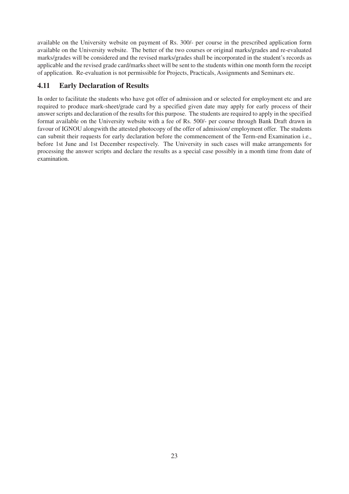available on the University website on payment of Rs. 300/- per course in the prescribed application form available on the University website. The better of the two courses or original marks/grades and re-evaluated marks/grades will be considered and the revised marks/grades shall be incorporated in the student's records as applicable and the revised grade card/marks sheet will be sent to the students within one month form the receipt of application. Re-evaluation is not permissible for Projects, Practicals, Assignments and Seminars etc.

# **4.11 Early Declaration of Results**

In order to facilitate the students who have got offer of admission and or selected for employment etc and are required to produce mark-sheet/grade card by a specified given date may apply for early process of their answer scripts and declaration of the results for this purpose. The students are required to apply in the specified format available on the University website with a fee of Rs. 500/- per course through Bank Draft drawn in favour of IGNOU alongwith the attested photocopy of the offer of admission/ employment offer. The students can submit their requests for early declaration before the commencement of the Term-end Examination i.e., before 1st June and 1st December respectively. The University in such cases will make arrangements for processing the answer scripts and declare the results as a special case possibly in a month time from date of examination.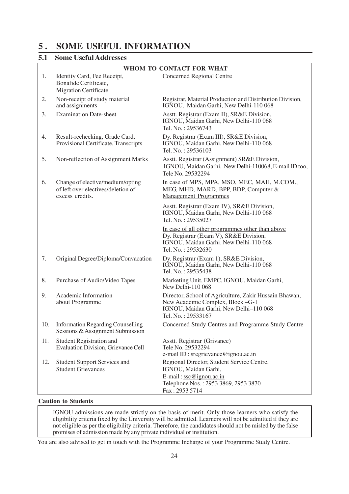# **5 . SOME USEFUL INFORMATION**

# **5.1 Some Useful Addresses**

|     | WHOM TO CONTACT FOR WHAT                                                                  |                                                                                                                                                            |  |  |  |
|-----|-------------------------------------------------------------------------------------------|------------------------------------------------------------------------------------------------------------------------------------------------------------|--|--|--|
| 1.  | Identity Card, Fee Receipt,<br>Bonafide Certificate,<br><b>Migration Certificate</b>      | <b>Concerned Regional Centre</b>                                                                                                                           |  |  |  |
| 2.  | Non-receipt of study material<br>and assignments                                          | Registrar, Material Production and Distribution Division,<br>IGNOU, Maidan Garhi, New Delhi-110 068                                                        |  |  |  |
| 3.  | <b>Examination Date-sheet</b>                                                             | Asstt. Registrar (Exam II), SR&E Division,<br>IGNOU, Maidan Garhi, New Delhi-110 068<br>Tel. No.: 29536743                                                 |  |  |  |
| 4.  | Result-rechecking, Grade Card,<br>Provisional Certificate, Transcripts                    | Dy. Registrar (Exam III), SR&E Division,<br>IGNOU, Maidan Garhi, New Delhi-110 068<br>Tel. No.: 29536103                                                   |  |  |  |
| 5.  | Non-reflection of Assignment Marks                                                        | Asstt. Registrar (Assignment) SR&E Division,<br>IGNOU, Maidan Garhi, New Delhi-110068, E-mail ID too,<br>Tele No. 29532294                                 |  |  |  |
| 6.  | Change of elective/medium/opting<br>of left over electives/deletion of<br>excess credits. | In case of MPS, MPA, MSO, MEC, MAH, M.COM.,<br>MEG, MHD, MARD, BPP, BDP, Computer &<br><b>Management Programmes</b>                                        |  |  |  |
|     |                                                                                           | Asstt. Registrar (Exam IV), SR&E Division,<br>IGNOU, Maidan Garhi, New Delhi-110 068<br>Tel. No.: 29535027                                                 |  |  |  |
|     |                                                                                           | In case of all other programmes other than above<br>Dy. Registrar (Exam V), SR&E Division,<br>IGNOU, Maidan Garhi, New Delhi-110 068<br>Tel. No.: 29532630 |  |  |  |
| 7.  | Original Degree/Diploma/Convacation                                                       | Dy. Registrar (Exam 1), SR&E Division,<br>IGNOU, Maidan Garhi, New Delhi-110 068<br>Tel. No.: 29535438                                                     |  |  |  |
| 8.  | Purchase of Audio/Video Tapes                                                             | Marketing Unit, EMPC, IGNOU, Maidan Garhi,<br>New Delhi-110 068                                                                                            |  |  |  |
| 9.  | Academic Information<br>about Programme                                                   | Director, School of Agriculture, Zakir Hussain Bhawan,<br>New Academic Complex, Block-G-1<br>IGNOU, Maidan Garhi, New Delhi-110 068<br>Tel. No.: 29533167  |  |  |  |
| 10. | <b>Information Regarding Counselling</b><br>Sessions & Assignment Submission              | Concerned Study Centres and Programme Study Centre                                                                                                         |  |  |  |
| 11. | <b>Student Registration and</b><br><b>Evaluation Division, Grievance Cell</b>             | Asstt. Registrar (Grivance)<br>Tele No. 29532294<br>e-mail ID: sregrievance@ignou.ac.in                                                                    |  |  |  |
| 12. | <b>Student Support Services and</b><br><b>Student Grievances</b>                          | Regional Director, Student Service Centre,<br>IGNOU, Maidan Garhi,<br>E-mail: ssc@ignou.ac.in<br>Telephone Nos.: 2953 3869, 2953 3870<br>Fax: 2953 5714    |  |  |  |

### **Caution to Students**

IGNOU admissions are made strictly on the basis of merit. Only those learners who satisfy the eligibility criteria fixed by the University will be admitted. Learners will not be admitted if they are not eligible as per the eligibility criteria. Therefore, the candidates should not be misled by the false promises of admission made by any private individual or institution.

You are also advised to get in touch with the Programme Incharge of your Programme Study Centre.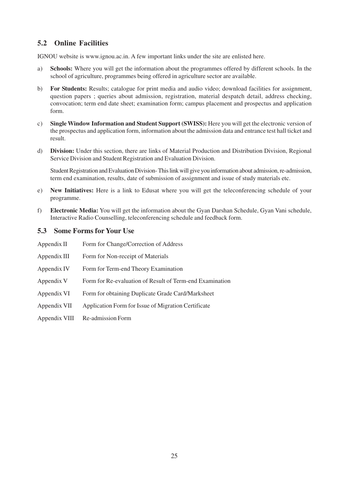# **5.2 Online Facilities**

IGNOU website is www.ignou.ac.in. A few important links under the site are enlisted here.

- a) **Schools:** Where you will get the information about the programmes offered by different schools. In the school of agriculture, programmes being offered in agriculture sector are available.
- b) **For Students:** Results; catalogue for print media and audio video; download facilities for assignment, question papers ; queries about admission, registration, material despatch detail, address checking, convocation; term end date sheet; examination form; campus placement and prospectus and application form.
- c) **Single Window Information and Student Support (SWISS):** Here you will get the electronic version of the prospectus and application form, information about the admission data and entrance test hall ticket and result.
- d) **Division:** Under this section, there are links of Material Production and Distribution Division, Regional Service Division and Student Registration and Evaluation Division.

Student Registration and Evaluation Division- This link will give you information about admission, re-admission, term end examination, results, date of submission of assignment and issue of study materials etc.

- e) **New Initiatives:** Here is a link to Edusat where you will get the teleconferencing schedule of your programme.
- f) **Electronic Media:** You will get the information about the Gyan Darshan Schedule, Gyan Vani schedule, Interactive Radio Counselling, teleconferencing schedule and feedback form.

### **5.3 Some Forms for Your Use**

| Appendix II   | Form for Change/Correction of Address                    |
|---------------|----------------------------------------------------------|
| Appendix III  | Form for Non-receipt of Materials                        |
| Appendix IV   | Form for Term-end Theory Examination                     |
| Appendix V    | Form for Re-evaluation of Result of Term-end Examination |
| Appendix VI   | Form for obtaining Duplicate Grade Card/Marksheet        |
| Appendix VII  | Application Form for Issue of Migration Certificate      |
| Appendix VIII | Re-admission Form                                        |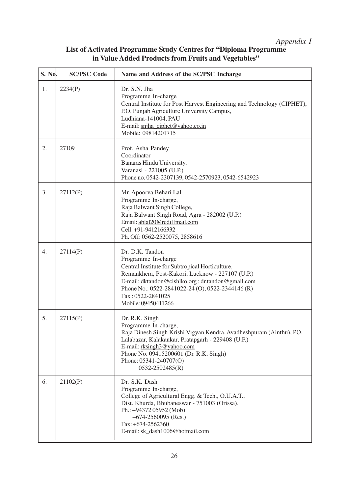# *Appendix I*

# **List of Activated Programme Study Centres for "Diploma Programme in Value Added Products from Fruits and Vegetables"**

| S. No. | <b>SC/PSC Code</b> | Name and Address of the SC/PSC Incharge                                                                                                                                                                                                                                                            |
|--------|--------------------|----------------------------------------------------------------------------------------------------------------------------------------------------------------------------------------------------------------------------------------------------------------------------------------------------|
| 1.     | 2234(P)            | Dr. S.N. Jha<br>Programme In-charge<br>Central Institute for Post Harvest Engineering and Technology (CIPHET),<br>P.O. Punjab Agriculture University Campus,<br>Ludhiana-141004, PAU<br>E-mail: snjha_ciphet@yahoo.co.in<br>Mobile: 09814201715                                                    |
| 2.     | 27109              | Prof. Asha Pandey<br>Coordinator<br>Banaras Hindu University,<br>Varanasi - 221005 (U.P.)<br>Phone no. 0542-2307139, 0542-2570923, 0542-6542923                                                                                                                                                    |
| 3.     | 27112(P)           | Mr. Apoorva Behari Lal<br>Programme In-charge,<br>Raja Balwant Singh College,<br>Raja Balwant Singh Road, Agra - 282002 (U.P.)<br>Email: ablal20@rediffmail.com<br>Cell: +91-9412166332<br>Ph. Off: 0562-2520075, 2858616                                                                          |
| 4.     | 27114(P)           | Dr. D.K. Tandon<br>Programme In-charge<br>Central Institute for Subtropical Horticulture,<br>Remankhera, Post-Kakori, Lucknow - 227107 (U.P.)<br>E-mail: dktandon@cishlko.org; dr.tandon@gmail.com<br>Phone No.: 0522-2841022-24 (O), 0522-2344146 (R)<br>Fax: 0522-2841025<br>Mobile: 09450411266 |
| 5.     | 27115(P)           | Dr. R.K. Singh<br>Programme In-charge,<br>Raja Dinesh Singh Krishi Vigyan Kendra, Avadheshpuram (Ainthu), PO.<br>Lalabazar, Kalakankar, Pratapgarh - 229408 (U.P.)<br>E-mail: rksingh3@yahoo.com<br>Phone No. 09415200601 (Dr. R.K. Singh)<br>Phone: $05341 - 240707(O)$<br>$0532 - 2502485(R)$    |
| 6.     | 21102(P)           | Dr. S.K. Dash<br>Programme In-charge,<br>College of Agricultural Engg. & Tech., O.U.A.T.,<br>Dist. Khurda, Bhubaneswar - 751003 (Orissa).<br>Ph.: +94372 05952 (Mob)<br>$+674-2560095$ (Res.)<br>Fax: +674-2562360<br>E-mail: sk_dash1006@hotmail.com                                              |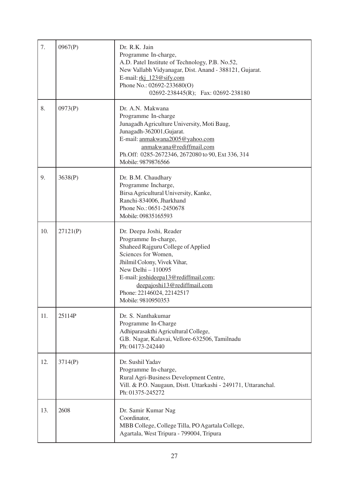| 7.  | 0967(P)  | Dr. R.K. Jain<br>Programme In-charge,<br>A.D. Patel Institute of Technology, P.B. No.52,<br>New Vallabh Vidyanagar, Dist. Anand - 388121, Gujarat.<br>E-mail: $rk$ $123@s$ ify.com<br>Phone No.: 02692-233680(O)<br>02692-238445(R); Fax: 02692-238180                                       |
|-----|----------|----------------------------------------------------------------------------------------------------------------------------------------------------------------------------------------------------------------------------------------------------------------------------------------------|
| 8.  | 0973(P)  | Dr. A.N. Makwana<br>Programme In-charge<br>Junagadh Agriculture University, Moti Baug,<br>Junagadh-362001, Gujarat.<br>E-mail: anmakwana2005@yahoo.com<br>anmakwana@rediffmail.com<br>Ph.Off: 0285-2672346, 2672080 to 90, Ext 336, 314<br>Mobile: 9879876566                                |
| 9.  | 3638(P)  | Dr. B.M. Chaudhary<br>Programme Incharge,<br>Birsa Agricultural University, Kanke,<br>Ranchi-834006, Jharkhand<br>Phone No.: 0651-2450678<br>Mobile: 09835165593                                                                                                                             |
| 10. | 27121(P) | Dr. Deepa Joshi, Reader<br>Programme In-charge,<br>Shaheed Rajguru College of Applied<br>Sciences for Women,<br>Jhilmil Colony, Vivek Vihar,<br>New Delhi - 110095<br>E-mail: joshideepa13@rediffmail.com;<br>deepajoshi13@rediffmail.com<br>Phone: 22146024, 22142517<br>Mobile: 9810950353 |
| 11. | 25114P   | Dr. S. Nanthakumar<br>Programme In-Charge<br>Adhiparasakthi Agricultural College,<br>G.B. Nagar, Kalavai, Vellore-632506, Tamilnadu<br>Ph: 04173-242440                                                                                                                                      |
| 12. | 3714(P)  | Dr. Sushil Yadav<br>Programme In-charge,<br>Rural Agri-Business Development Centre,<br>Vill. & P.O. Naugaun, Distt. Uttarkashi - 249171, Uttaranchal.<br>Ph: 01375-245272                                                                                                                    |
| 13. | 2608     | Dr. Samir Kumar Nag<br>Coordinator,<br>MBB College, College Tilla, PO Agartala College,<br>Agartala, West Tripura - 799004, Tripura                                                                                                                                                          |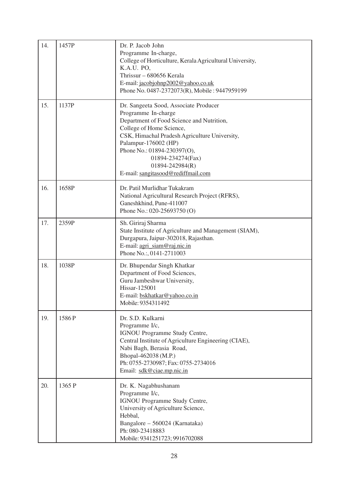| 14. | 1457P  | Dr. P. Jacob John<br>Programme In-charge,<br>College of Horticulture, Kerala Agricultural University,<br>K.A.U. PO,<br>Thrissur – 680656 Kerala<br>E-mail: jacobjohnp2002@yahoo.co.uk<br>Phone No. 0487-2372073(R), Mobile: 9447959199                                                                                      |
|-----|--------|-----------------------------------------------------------------------------------------------------------------------------------------------------------------------------------------------------------------------------------------------------------------------------------------------------------------------------|
| 15. | 1137P  | Dr. Sangeeta Sood, Associate Producer<br>Programme In-charge<br>Department of Food Science and Nutrition,<br>College of Home Science,<br>CSK, Himachal Pradesh Agriculture University,<br>Palampur-176002 (HP)<br>Phone No.: 01894-230397(O),<br>01894-234274(Fax)<br>01894-242984(R)<br>E-mail: sangitasood@rediffmail.com |
| 16. | 1658P  | Dr. Patil Murlidhar Tukakram<br>National Agricultural Research Project (RFRS),<br>Ganeshkhind, Pune-411007<br>Phone No.: 020-25693750 (O)                                                                                                                                                                                   |
| 17. | 2359P  | Sh. Giriraj Sharma<br>State Institute of Agriculture and Management (SIAM),<br>Durgapura, Jaipur-302018, Rajasthan.<br>E-mail: agri_siam@raj.nic.in<br>Phone No.: , 0141-2711003                                                                                                                                            |
| 18. | 1038P  | Dr. Bhupendar Singh Khatkar<br>Department of Food Sciences,<br>Guru Jambeshwar University,<br>Hissar-125001<br>E-mail: bskhatkar@yahoo.co.in<br>Mobile: 9354311492                                                                                                                                                          |
| 19. | 1586P  | Dr. S.D. Kulkarni<br>Programme I/c,<br>IGNOU Programme Study Centre,<br>Central Institute of Agriculture Engineering (CIAE),<br>Nabi Bagh, Berasia Road,<br>Bhopal-462038 (M.P.)<br>Ph: 0755-2730987; Fax: 0755-2734016<br>Email: sdk@ciae.mp.nic.in                                                                        |
| 20. | 1365 P | Dr. K. Nagabhushanam<br>Programme I/c,<br>IGNOU Programme Study Centre,<br>University of Agriculture Science,<br>Hebbal,<br>Bangalore - 560024 (Karnataka)<br>Ph: 080-23418883<br>Mobile: 9341251723; 9916702088                                                                                                            |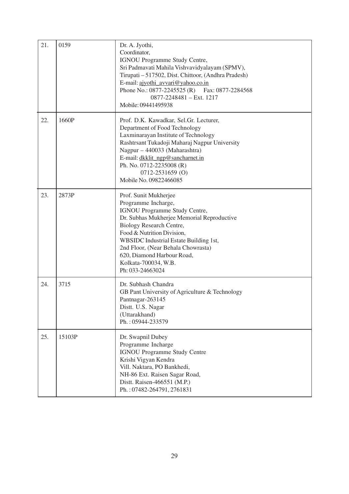| 21. | 0159   | Dr. A. Jyothi,<br>Coordinator,<br>IGNOU Programme Study Centre,<br>Sri Padmavati Mahila Vishvavidyalayam (SPMV),<br>Tirupati - 517502, Dist. Chittoor, (Andhra Pradesh)<br>E-mail: ajyothi_avvari@yahoo.co.in<br>Phone No.: 0877-2245525 (R) Fax: 0877-2284568<br>0877-2248481 - Ext. 1217<br>Mobile: 09441495938                               |
|-----|--------|-------------------------------------------------------------------------------------------------------------------------------------------------------------------------------------------------------------------------------------------------------------------------------------------------------------------------------------------------|
| 22. | 1660P  | Prof. D.K. Kawadkar, Sel.Gr. Lecturer,<br>Department of Food Technology<br>Laxminarayan Institute of Technology<br>Rashtrsant Tukadoji Maharaj Nagpur University<br>Nagpur - 440033 (Maharashtra)<br>E-mail: dkklit ngp@sancharnet.in<br>Ph. No. 0712-2235008 (R)<br>$0712 - 2531659$ (O)<br>Mobile No. 09822466085                             |
| 23. | 2873P  | Prof. Sunit Mukherjee<br>Programme Incharge,<br>IGNOU Programme Study Centre,<br>Dr. Subhas Mukherjee Memorial Reproductive<br>Biology Research Centre,<br>Food & Nutrition Division,<br>WBSIDC Industrial Estate Building 1st,<br>2nd Floor, (Near Behala Chowrasta)<br>620, Diamond Harbour Road,<br>Kolkata-700034, W.B.<br>Ph: 033-24663024 |
| 24. | 3715   | Dr. Subhash Chandra<br>GB Pant University of Agriculture & Technology<br>Pantnagar-263145<br>Distt. U.S. Nagar<br>(Uttarakhand)<br>Ph.: 05944-233579                                                                                                                                                                                            |
| 25. | 15103P | Dr. Swapnil Dubey<br>Programme Incharge<br><b>IGNOU Programme Study Centre</b><br>Krishi Vigyan Kendra<br>Vill. Naktara, PO Bankhedi,<br>NH-86 Ext. Raisen Sagar Road,<br>Distt. Raisen-466551 (M.P.)<br>Ph.: 07482-264791, 2761831                                                                                                             |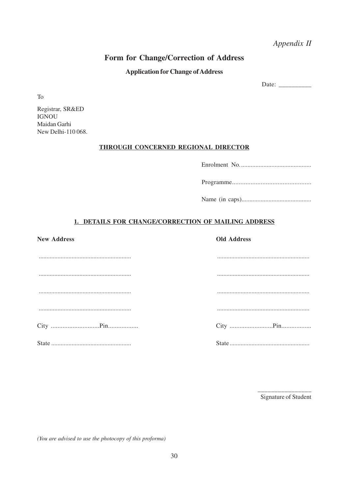Appendix II

# Form for Change/Correction of Address

### **Application for Change of Address**

Date:  $\frac{1}{\frac{1}{2} \cdot \frac{1}{2} \cdot \frac{1}{2} \cdot \frac{1}{2} \cdot \frac{1}{2} \cdot \frac{1}{2} \cdot \frac{1}{2} \cdot \frac{1}{2} \cdot \frac{1}{2} \cdot \frac{1}{2} \cdot \frac{1}{2} \cdot \frac{1}{2} \cdot \frac{1}{2} \cdot \frac{1}{2} \cdot \frac{1}{2} \cdot \frac{1}{2} \cdot \frac{1}{2} \cdot \frac{1}{2} \cdot \frac{1}{2} \cdot \frac{1}{2} \cdot \frac{1}{2} \cdot \frac{1}{2} \cdot \frac{1}{2} \cdot \frac$ 

T<sub>o</sub>

Registrar, SR&ED **IGNOU** Maidan Garhi New Delhi-110 068.

### THROUGH CONCERNED REGIONAL DIRECTOR

|--|

### 1. DETAILS FOR CHANGE/CORRECTION OF MAILING ADDRESS

| <b>New Address</b> | <b>Old Address</b> |
|--------------------|--------------------|
|                    |                    |
|                    |                    |
|                    |                    |
|                    |                    |
|                    |                    |
|                    |                    |

Signature of Student

(You are advised to use the photocopy of this proforma)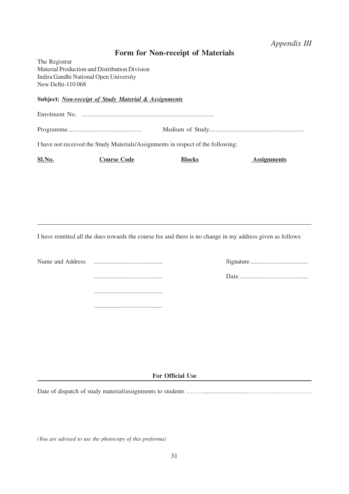# *Appendix III*

# **Form for Non-receipt of Materials**

The Registrar Material Production and Distribution Division Indira Gandhi National Open University New Delhi-110 068

### **Subject:** *Non-receipt of Study Material & Assignments*

Enrolment No. ................................................................................

Programme............................................ Medium of Study..........................................................

I have not received the Study Materials/Assignments in respect of the following:

| Sl.No. | <b>Course Code</b> | Blocks | <b>Assignments</b> |
|--------|--------------------|--------|--------------------|
|--------|--------------------|--------|--------------------|

I have remitted all the dues towards the course fee and there is no change in my address given as follows:

Name and Address ............................................ Signature..................................... ............................................ Date ............................................ ............................................

............................................

**For Official Use**

Date of dispatch of study material/assignments to students …………………………………………………………

*(You are advised to use the photocopy of this proforma)*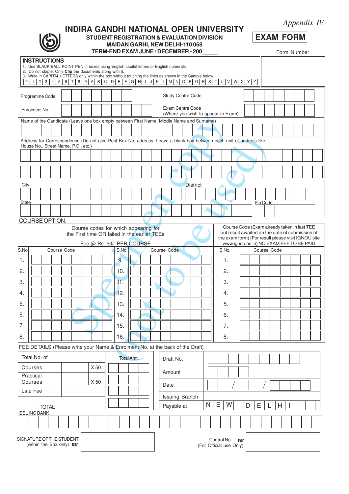| Appendix IV |  |
|-------------|--|
|-------------|--|

# **EXAM FORM**

### **INDIRA GANDHI NATIONAL OPEN UNIVERSITY STUDENT REGISTRATION & EVALUATION DIVISION MAIDAN GARHI, NEW DELHI-110 068**

**TERM-END EXAM JUNE / DECEMBER - 200\_\_\_\_\_**

Form Number

| $0$   1                                                                                       |                                                                                                                                                                                                                                                                                                                                                                                     | <b>INSTRUCTIONS</b><br>1. Use BLACK BALL POINT PEN in boxes using English capital letters or English numerals.<br>2. Do not staple. Only Clip the documents along with it.<br>3. Write in CAPITAL LETTERS only within the box without touching the lines as shown in the Sample below. |  |  |  |  |      |                                                                   |     |  |            |  |  |      |                          |  |                 |  |  | 2 3 4 5 6 7 8 9 A B C D E F G H I J K L M N O P Q R S T U V W X Y Z |  |  |  |          |  |  |  |  |
|-----------------------------------------------------------------------------------------------|-------------------------------------------------------------------------------------------------------------------------------------------------------------------------------------------------------------------------------------------------------------------------------------------------------------------------------------------------------------------------------------|----------------------------------------------------------------------------------------------------------------------------------------------------------------------------------------------------------------------------------------------------------------------------------------|--|--|--|--|------|-------------------------------------------------------------------|-----|--|------------|--|--|------|--------------------------|--|-----------------|--|--|---------------------------------------------------------------------|--|--|--|----------|--|--|--|--|
| Programme Code                                                                                |                                                                                                                                                                                                                                                                                                                                                                                     |                                                                                                                                                                                                                                                                                        |  |  |  |  |      |                                                                   |     |  |            |  |  |      | <b>Study Centre Code</b> |  |                 |  |  |                                                                     |  |  |  |          |  |  |  |  |
| Exam Centre Code<br>Enrolment No.<br>(Where you wish to appear in Exam)                       |                                                                                                                                                                                                                                                                                                                                                                                     |                                                                                                                                                                                                                                                                                        |  |  |  |  |      |                                                                   |     |  |            |  |  |      |                          |  |                 |  |  |                                                                     |  |  |  |          |  |  |  |  |
|                                                                                               | Name of the Candidate (Leave one box empty between First Name, Middle Name and Surname)                                                                                                                                                                                                                                                                                             |                                                                                                                                                                                                                                                                                        |  |  |  |  |      |                                                                   |     |  |            |  |  |      |                          |  |                 |  |  |                                                                     |  |  |  |          |  |  |  |  |
|                                                                                               |                                                                                                                                                                                                                                                                                                                                                                                     |                                                                                                                                                                                                                                                                                        |  |  |  |  |      |                                                                   |     |  |            |  |  |      |                          |  |                 |  |  |                                                                     |  |  |  |          |  |  |  |  |
|                                                                                               | Address for Correspondence (Do not give Post Box No. address. Leave a blank box between each unit of address like<br>House No., Street Name, P.O., etc.)                                                                                                                                                                                                                            |                                                                                                                                                                                                                                                                                        |  |  |  |  |      |                                                                   |     |  |            |  |  |      |                          |  |                 |  |  |                                                                     |  |  |  |          |  |  |  |  |
|                                                                                               |                                                                                                                                                                                                                                                                                                                                                                                     |                                                                                                                                                                                                                                                                                        |  |  |  |  |      |                                                                   |     |  |            |  |  |      |                          |  |                 |  |  |                                                                     |  |  |  |          |  |  |  |  |
|                                                                                               |                                                                                                                                                                                                                                                                                                                                                                                     |                                                                                                                                                                                                                                                                                        |  |  |  |  |      |                                                                   |     |  |            |  |  |      |                          |  |                 |  |  |                                                                     |  |  |  |          |  |  |  |  |
| City                                                                                          |                                                                                                                                                                                                                                                                                                                                                                                     |                                                                                                                                                                                                                                                                                        |  |  |  |  |      |                                                                   |     |  |            |  |  |      |                          |  | <b>District</b> |  |  |                                                                     |  |  |  |          |  |  |  |  |
|                                                                                               |                                                                                                                                                                                                                                                                                                                                                                                     |                                                                                                                                                                                                                                                                                        |  |  |  |  |      |                                                                   |     |  |            |  |  |      |                          |  |                 |  |  |                                                                     |  |  |  |          |  |  |  |  |
| State                                                                                         |                                                                                                                                                                                                                                                                                                                                                                                     |                                                                                                                                                                                                                                                                                        |  |  |  |  |      |                                                                   |     |  |            |  |  |      |                          |  |                 |  |  |                                                                     |  |  |  | Pin Code |  |  |  |  |
| <b>COURSE OPTION:</b>                                                                         |                                                                                                                                                                                                                                                                                                                                                                                     |                                                                                                                                                                                                                                                                                        |  |  |  |  |      |                                                                   |     |  |            |  |  |      |                          |  |                 |  |  |                                                                     |  |  |  |          |  |  |  |  |
| S.No                                                                                          | Course Code (Exam already taken in last TEE<br>Course codes for which appearing for<br>but result awaited on the date of submission of<br>the First time OR failed in the earlier TEEs<br>the exam form) (For result please visit IGNOU site<br>Fee @ Rs. 50/- PER COURSE<br>www.ignou.ac.in) NO EXAM FEE TO BE PAID<br>Course Code<br>S.No.<br>Course Code<br>S.No.<br>Course Code |                                                                                                                                                                                                                                                                                        |  |  |  |  |      |                                                                   |     |  |            |  |  |      |                          |  |                 |  |  |                                                                     |  |  |  |          |  |  |  |  |
| 1.                                                                                            |                                                                                                                                                                                                                                                                                                                                                                                     |                                                                                                                                                                                                                                                                                        |  |  |  |  |      |                                                                   | 9.  |  |            |  |  |      |                          |  |                 |  |  | 1.                                                                  |  |  |  |          |  |  |  |  |
| 2.                                                                                            |                                                                                                                                                                                                                                                                                                                                                                                     |                                                                                                                                                                                                                                                                                        |  |  |  |  |      |                                                                   | 10. |  |            |  |  |      |                          |  |                 |  |  | 2.                                                                  |  |  |  |          |  |  |  |  |
| 3.                                                                                            |                                                                                                                                                                                                                                                                                                                                                                                     |                                                                                                                                                                                                                                                                                        |  |  |  |  |      |                                                                   | 11. |  |            |  |  |      |                          |  |                 |  |  | 3.                                                                  |  |  |  |          |  |  |  |  |
| 4.                                                                                            |                                                                                                                                                                                                                                                                                                                                                                                     |                                                                                                                                                                                                                                                                                        |  |  |  |  |      |                                                                   | 12. |  |            |  |  |      |                          |  |                 |  |  | 4.                                                                  |  |  |  |          |  |  |  |  |
| 5.                                                                                            |                                                                                                                                                                                                                                                                                                                                                                                     |                                                                                                                                                                                                                                                                                        |  |  |  |  |      |                                                                   | 13. |  |            |  |  |      |                          |  |                 |  |  | 5.                                                                  |  |  |  |          |  |  |  |  |
| 6.                                                                                            |                                                                                                                                                                                                                                                                                                                                                                                     |                                                                                                                                                                                                                                                                                        |  |  |  |  |      |                                                                   | 14. |  |            |  |  |      |                          |  |                 |  |  | 6.                                                                  |  |  |  |          |  |  |  |  |
| 7.                                                                                            |                                                                                                                                                                                                                                                                                                                                                                                     |                                                                                                                                                                                                                                                                                        |  |  |  |  |      |                                                                   | 15. |  |            |  |  |      |                          |  |                 |  |  | 7.                                                                  |  |  |  |          |  |  |  |  |
| 8.                                                                                            |                                                                                                                                                                                                                                                                                                                                                                                     |                                                                                                                                                                                                                                                                                        |  |  |  |  |      |                                                                   | 16. |  |            |  |  |      |                          |  |                 |  |  | 8.                                                                  |  |  |  |          |  |  |  |  |
| FEE DETAILS (Please write your Name & Enrolment No. at the back of the Draft)<br>Total No. of |                                                                                                                                                                                                                                                                                                                                                                                     |                                                                                                                                                                                                                                                                                        |  |  |  |  |      |                                                                   |     |  | Total Amt. |  |  |      |                          |  |                 |  |  |                                                                     |  |  |  |          |  |  |  |  |
| Courses                                                                                       |                                                                                                                                                                                                                                                                                                                                                                                     |                                                                                                                                                                                                                                                                                        |  |  |  |  | X 50 |                                                                   |     |  |            |  |  |      | Draft No.                |  |                 |  |  |                                                                     |  |  |  |          |  |  |  |  |
| Practical<br>Courses                                                                          |                                                                                                                                                                                                                                                                                                                                                                                     |                                                                                                                                                                                                                                                                                        |  |  |  |  | X 50 |                                                                   |     |  |            |  |  |      | Amount                   |  |                 |  |  |                                                                     |  |  |  |          |  |  |  |  |
| Late Fee                                                                                      |                                                                                                                                                                                                                                                                                                                                                                                     |                                                                                                                                                                                                                                                                                        |  |  |  |  |      |                                                                   |     |  |            |  |  | Date |                          |  |                 |  |  |                                                                     |  |  |  |          |  |  |  |  |
|                                                                                               |                                                                                                                                                                                                                                                                                                                                                                                     |                                                                                                                                                                                                                                                                                        |  |  |  |  |      | Issuing Branch<br>Е<br>N<br>W<br>Ε<br>D<br>H<br>L<br>$\mathsf{l}$ |     |  |            |  |  |      |                          |  |                 |  |  |                                                                     |  |  |  |          |  |  |  |  |
|                                                                                               | Payable at<br><b>TOTAL</b><br><b>ISSUING BANK</b>                                                                                                                                                                                                                                                                                                                                   |                                                                                                                                                                                                                                                                                        |  |  |  |  |      |                                                                   |     |  |            |  |  |      |                          |  |                 |  |  |                                                                     |  |  |  |          |  |  |  |  |
|                                                                                               |                                                                                                                                                                                                                                                                                                                                                                                     |                                                                                                                                                                                                                                                                                        |  |  |  |  |      |                                                                   |     |  |            |  |  |      |                          |  |                 |  |  |                                                                     |  |  |  |          |  |  |  |  |
|                                                                                               | SIGNATURE OF THE STUDENT<br>(within the Box only) 168                                                                                                                                                                                                                                                                                                                               |                                                                                                                                                                                                                                                                                        |  |  |  |  |      | Control No.<br>曙<br>(For Official use Only)                       |     |  |            |  |  |      |                          |  |                 |  |  |                                                                     |  |  |  |          |  |  |  |  |